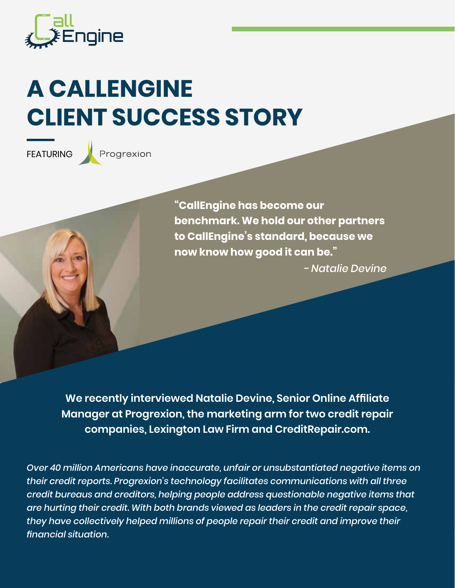

# **A CALLENGINE CLIENT SUCCESS STORY**

FEATURING **Reserve** 

**"CallEngine has become our benchmark. We hold our other partners to CallEngine's standard, because we now know how good it can be."** 

*- Natalie Devine*

**We recently interviewed Natalie Devine, Senior Online Affliate Manager at Progrexion, the marketing arm for two credit repair companies, Lexington Law Firm and CreditRepair.com.**

*Over 40 million Americans have inaccurate, unfair or unsubstantiated negative items on their credit reports. Progrexion's technology facilitates communications with all three credit bureaus and creditors, helping people address questionable negative items that are hurting their credit. With both brands viewed as leaders in the credit repair space, they have collectively helped millions of people repair their credit and improve their fnancial situation.*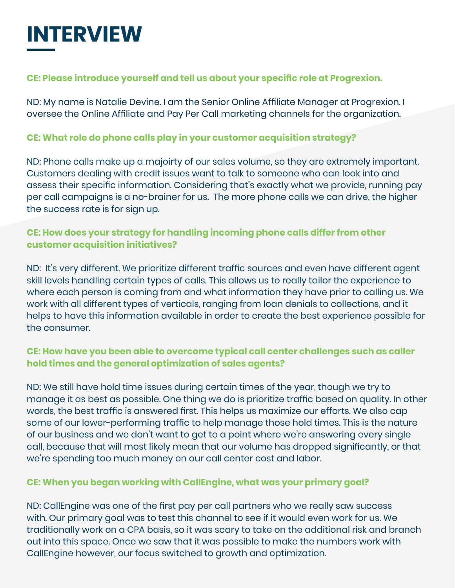## **INTERVIEW**

#### **CE: Please introduce yourself and tell us about your specifc role at Progrexion.**

ND: My name is Natalie Devine. I am the Senior Online Affliate Manager at Progrexion. I oversee the Online Affliate and Pay Per Call marketing channels for the organization.

#### **CE: What role do phone calls play in your customer acquisition strategy?**

ND: Phone calls make up a majoirty of our sales volume, so they are extremely important. Customers dealing with credit issues want to talk to someone who can look into and assess their specifc information. Considering that's exactly what we provide, running pay per call campaigns is a no-brainer for us. The more phone calls we can drive, the higher the success rate is for sign up.

#### **CE: How does your strategy for handling incoming phone calls differ from other customer acquisition initiatives?**

ND: It's very different. We prioritize different traffic sources and even have different agent skill levels handling certain types of calls. This allows us to really tailor the experience to where each person is coming from and what information they have prior to calling us. We work with all different types of verticals, ranging from loan denials to collections, and it helps to have this information available in order to create the best experience possible for the consumer.

#### **CE: How have you been able to overcome typical call center challenges such as caller hold times and the general optimization of sales agents?**

ND: We still have hold time issues during certain times of the year, though we try to manage it as best as possible. One thing we do is prioritize traffc based on quality. In other words, the best traffic is answered first. This helps us maximize our efforts. We also cap some of our lower-performing traffic to help manage those hold times. This is the nature of our business and we don't want to get to a point where we're answering every single call, because that will most likely mean that our volume has dropped signifcantly, or that we're spending too much money on our call center cost and labor.

#### **CE: When you began working with CallEngine, what was your primary goal?**

ND: CallEngine was one of the frst pay per call partners who we really saw success with. Our primary goal was to test this channel to see if it would even work for us. We traditionally work on a CPA basis, so it was scary to take on the additional risk and branch out into this space. Once we saw that it was possible to make the numbers work with CallEngine however, our focus switched to growth and optimization.